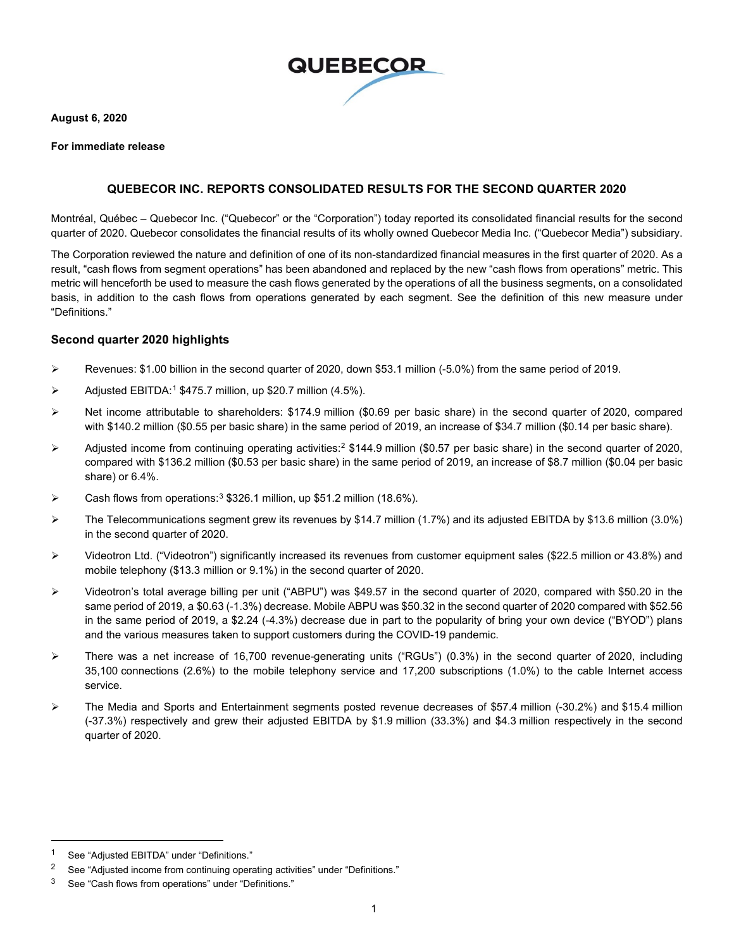

**August 6, 2020**

#### **For immediate release**

### **QUEBECOR INC. REPORTS CONSOLIDATED RESULTS FOR THE SECOND QUARTER 2020**

Montréal, Québec – Quebecor Inc. ("Quebecor" or the "Corporation") today reported its consolidated financial results for the second quarter of 2020. Quebecor consolidates the financial results of its wholly owned Quebecor Media Inc. ("Quebecor Media") subsidiary.

The Corporation reviewed the nature and definition of one of its non-standardized financial measures in the first quarter of 2020. As a result, "cash flows from segment operations" has been abandoned and replaced by the new "cash flows from operations" metric. This metric will henceforth be used to measure the cash flows generated by the operations of all the business segments, on a consolidated basis, in addition to the cash flows from operations generated by each segment. See the definition of this new measure under "Definitions."

#### **Second quarter 2020 highlights**

- Revenues: \$1.00 billion in the second quarter of 2020, down \$53.1 million  $(-5.0\%)$  from the same period of 2019.
- $\triangleright$  Adjusted EBITDA:<sup>[1](#page-0-0)</sup> \$475.7 million, up \$20.7 million (4.5%).
- Net income attributable to shareholders: \$174.9 million (\$0.69 per basic share) in the second quarter of 2020, compared with \$140.2 million (\$0.55 per basic share) in the same period of 2019, an increase of \$34.7 million (\$0.14 per basic share).
- $\triangleright$  Adjusted income from continuing operating activities:  $2$  \$144.9 million (\$0.57 per basic share) in the second quarter of 2020, compared with \$136.2 million (\$0.53 per basic share) in the same period of 2019, an increase of \$8.7 million (\$0.04 per basic share) or 6.4%.
- $\triangleright$  Cash flows from operations:<sup>[3](#page-0-2)</sup> \$326.1 million, up \$51.2 million (18.6%).
- $\triangleright$  The Telecommunications segment grew its revenues by \$14.7 million (1.7%) and its adjusted EBITDA by \$13.6 million (3.0%) in the second quarter of 2020.
- Videotron Ltd. ("Videotron") significantly increased its revenues from customer equipment sales (\$22.5 million or 43.8%) and mobile telephony (\$13.3 million or 9.1%) in the second quarter of 2020.
- Videotron's total average billing per unit ("ABPU") was \$49.57 in the second quarter of 2020, compared with \$50.20 in the same period of 2019, a \$0.63 (-1.3%) decrease. Mobile ABPU was \$50.32 in the second quarter of 2020 compared with \$52.56 in the same period of 2019, a \$2.24 (-4.3%) decrease due in part to the popularity of bring your own device ("BYOD") plans and the various measures taken to support customers during the COVID-19 pandemic.
- There was a net increase of 16,700 revenue-generating units ("RGUs") (0.3%) in the second quarter of 2020, including 35,100 connections (2.6%) to the mobile telephony service and 17,200 subscriptions (1.0%) to the cable Internet access service.
- The Media and Sports and Entertainment segments posted revenue decreases of \$57.4 million (-30.2%) and \$15.4 million (-37.3%) respectively and grew their adjusted EBITDA by \$1.9 million (33.3%) and \$4.3 million respectively in the second quarter of 2020.

<span id="page-0-0"></span>See "Adjusted EBITDA" under "Definitions."

<span id="page-0-1"></span><sup>&</sup>lt;sup>2</sup> See "Adjusted income from continuing operating activities" under "Definitions."

<span id="page-0-2"></span><sup>3</sup> See "Cash flows from operations" under "Definitions."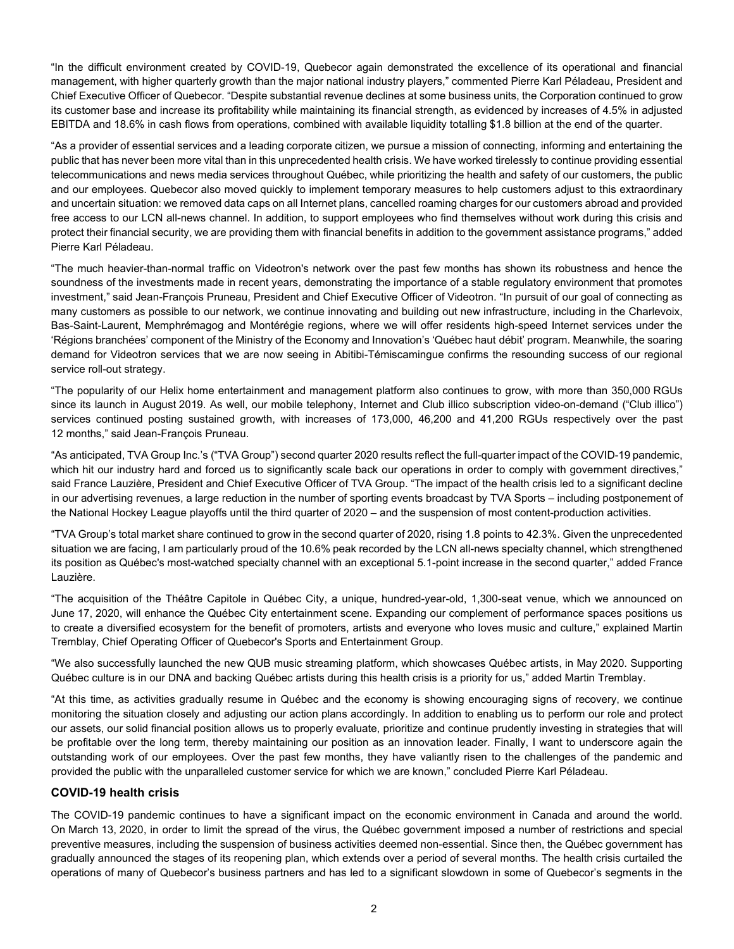"In the difficult environment created by COVID-19, Quebecor again demonstrated the excellence of its operational and financial management, with higher quarterly growth than the major national industry players," commented Pierre Karl Péladeau, President and Chief Executive Officer of Quebecor. "Despite substantial revenue declines at some business units, the Corporation continued to grow its customer base and increase its profitability while maintaining its financial strength, as evidenced by increases of 4.5% in adjusted EBITDA and 18.6% in cash flows from operations, combined with available liquidity totalling \$1.8 billion at the end of the quarter.

"As a provider of essential services and a leading corporate citizen, we pursue a mission of connecting, informing and entertaining the public that has never been more vital than in this unprecedented health crisis. We have worked tirelessly to continue providing essential telecommunications and news media services throughout Québec, while prioritizing the health and safety of our customers, the public and our employees. Quebecor also moved quickly to implement temporary measures to help customers adjust to this extraordinary and uncertain situation: we removed data caps on all Internet plans, cancelled roaming charges for our customers abroad and provided free access to our LCN all-news channel. In addition, to support employees who find themselves without work during this crisis and protect their financial security, we are providing them with financial benefits in addition to the government assistance programs," added Pierre Karl Péladeau.

"The much heavier-than-normal traffic on Videotron's network over the past few months has shown its robustness and hence the soundness of the investments made in recent years, demonstrating the importance of a stable regulatory environment that promotes investment," said Jean-François Pruneau, President and Chief Executive Officer of Videotron. "In pursuit of our goal of connecting as many customers as possible to our network, we continue innovating and building out new infrastructure, including in the Charlevoix, Bas-Saint-Laurent, Memphrémagog and Montérégie regions, where we will offer residents high-speed Internet services under the 'Régions branchées' component of the Ministry of the Economy and Innovation's 'Québec haut débit' program. Meanwhile, the soaring demand for Videotron services that we are now seeing in Abitibi-Témiscamingue confirms the resounding success of our regional service roll-out strategy.

"The popularity of our Helix home entertainment and management platform also continues to grow, with more than 350,000 RGUs since its launch in August 2019. As well, our mobile telephony, Internet and Club illico subscription video-on-demand ("Club illico") services continued posting sustained growth, with increases of 173,000, 46,200 and 41,200 RGUs respectively over the past 12 months," said Jean-François Pruneau.

"As anticipated, TVA Group Inc.'s ("TVA Group") second quarter 2020 results reflect the full-quarter impact of the COVID-19 pandemic, which hit our industry hard and forced us to significantly scale back our operations in order to comply with government directives," said France Lauzière, President and Chief Executive Officer of TVA Group. "The impact of the health crisis led to a significant decline in our advertising revenues, a large reduction in the number of sporting events broadcast by TVA Sports – including postponement of the National Hockey League playoffs until the third quarter of 2020 – and the suspension of most content-production activities.

"TVA Group's total market share continued to grow in the second quarter of 2020, rising 1.8 points to 42.3%. Given the unprecedented situation we are facing, I am particularly proud of the 10.6% peak recorded by the LCN all-news specialty channel, which strengthened its position as Québec's most-watched specialty channel with an exceptional 5.1-point increase in the second quarter," added France Lauzière.

"The acquisition of the Théâtre Capitole in Québec City, a unique, hundred-year-old, 1,300-seat venue, which we announced on June 17, 2020, will enhance the Québec City entertainment scene. Expanding our complement of performance spaces positions us to create a diversified ecosystem for the benefit of promoters, artists and everyone who loves music and culture," explained Martin Tremblay, Chief Operating Officer of Quebecor's Sports and Entertainment Group.

"We also successfully launched the new QUB music streaming platform, which showcases Québec artists, in May 2020. Supporting Québec culture is in our DNA and backing Québec artists during this health crisis is a priority for us," added Martin Tremblay.

"At this time, as activities gradually resume in Québec and the economy is showing encouraging signs of recovery, we continue monitoring the situation closely and adjusting our action plans accordingly. In addition to enabling us to perform our role and protect our assets, our solid financial position allows us to properly evaluate, prioritize and continue prudently investing in strategies that will be profitable over the long term, thereby maintaining our position as an innovation leader. Finally, I want to underscore again the outstanding work of our employees. Over the past few months, they have valiantly risen to the challenges of the pandemic and provided the public with the unparalleled customer service for which we are known," concluded Pierre Karl Péladeau.

#### **COVID-19 health crisis**

The COVID-19 pandemic continues to have a significant impact on the economic environment in Canada and around the world. On March 13, 2020, in order to limit the spread of the virus, the Québec government imposed a number of restrictions and special preventive measures, including the suspension of business activities deemed non-essential. Since then, the Québec government has gradually announced the stages of its reopening plan, which extends over a period of several months. The health crisis curtailed the operations of many of Quebecor's business partners and has led to a significant slowdown in some of Quebecor's segments in the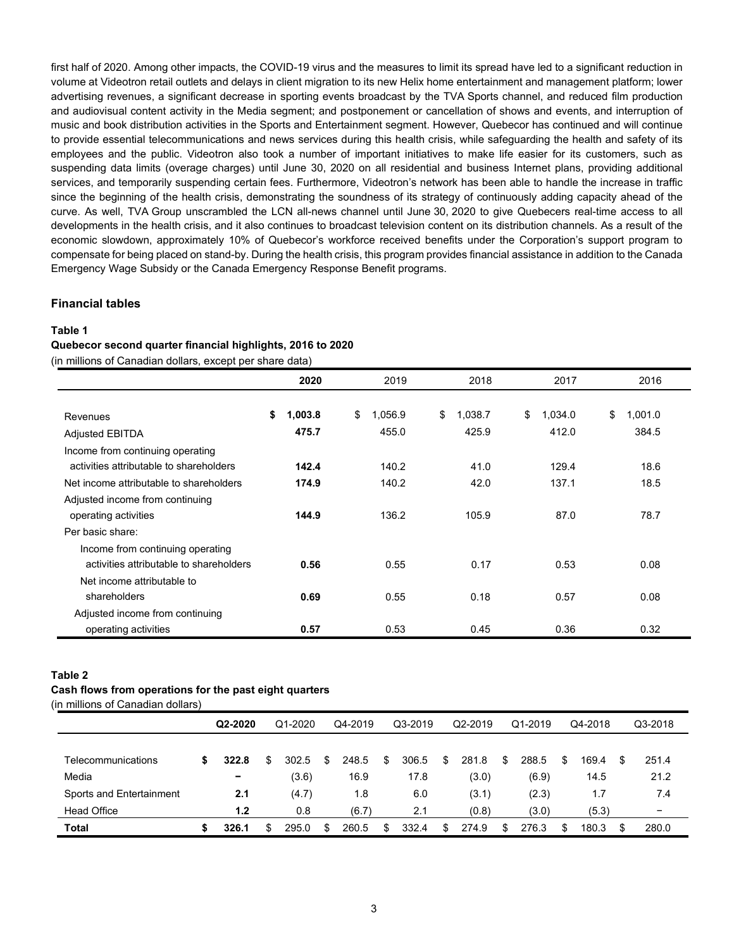first half of 2020. Among other impacts, the COVID-19 virus and the measures to limit its spread have led to a significant reduction in volume at Videotron retail outlets and delays in client migration to its new Helix home entertainment and management platform; lower advertising revenues, a significant decrease in sporting events broadcast by the TVA Sports channel, and reduced film production and audiovisual content activity in the Media segment; and postponement or cancellation of shows and events, and interruption of music and book distribution activities in the Sports and Entertainment segment. However, Quebecor has continued and will continue to provide essential telecommunications and news services during this health crisis, while safeguarding the health and safety of its employees and the public. Videotron also took a number of important initiatives to make life easier for its customers, such as suspending data limits (overage charges) until June 30, 2020 on all residential and business Internet plans, providing additional services, and temporarily suspending certain fees. Furthermore, Videotron's network has been able to handle the increase in traffic since the beginning of the health crisis, demonstrating the soundness of its strategy of continuously adding capacity ahead of the curve. As well, TVA Group unscrambled the LCN all-news channel until June 30, 2020 to give Quebecers real-time access to all developments in the health crisis, and it also continues to broadcast television content on its distribution channels. As a result of the economic slowdown, approximately 10% of Quebecor's workforce received benefits under the Corporation's support program to compensate for being placed on stand-by. During the health crisis, this program provides financial assistance in addition to the Canada Emergency Wage Subsidy or the Canada Emergency Response Benefit programs.

#### **Financial tables**

#### **Table 1**

#### **Quebecor second quarter financial highlights, 2016 to 2020**

(in millions of Canadian dollars, except per share data)

|                                         | 2020          | 2019          | 2018          | 2017          | 2016          |
|-----------------------------------------|---------------|---------------|---------------|---------------|---------------|
|                                         |               |               |               |               |               |
| Revenues                                | \$<br>1,003.8 | \$<br>1,056.9 | \$<br>1,038.7 | \$<br>1,034.0 | \$<br>1,001.0 |
| <b>Adjusted EBITDA</b>                  | 475.7         | 455.0         | 425.9         | 412.0         | 384.5         |
| Income from continuing operating        |               |               |               |               |               |
| activities attributable to shareholders | 142.4         | 140.2         | 41.0          | 129.4         | 18.6          |
| Net income attributable to shareholders | 174.9         | 140.2         | 42.0          | 137.1         | 18.5          |
| Adjusted income from continuing         |               |               |               |               |               |
| operating activities                    | 144.9         | 136.2         | 105.9         | 87.0          | 78.7          |
| Per basic share:                        |               |               |               |               |               |
| Income from continuing operating        |               |               |               |               |               |
| activities attributable to shareholders | 0.56          | 0.55          | 0.17          | 0.53          | 0.08          |
| Net income attributable to              |               |               |               |               |               |
| shareholders                            | 0.69          | 0.55          | 0.18          | 0.57          | 0.08          |
| Adjusted income from continuing         |               |               |               |               |               |
| operating activities                    | 0.57          | 0.53          | 0.45          | 0.36          | 0.32          |

#### **Table 2**

### **Cash flows from operations for the past eight quarters**

(in millions of Canadian dollars)

|                          |   | Q2-2020 |    | Q1-2020 |     | Q4-2019 |     | Q3-2019 |    | Q2-2019 |     | Q1-2019 |    |       |   | Q4-2018                  |  | Q3-2018 |
|--------------------------|---|---------|----|---------|-----|---------|-----|---------|----|---------|-----|---------|----|-------|---|--------------------------|--|---------|
|                          |   |         |    |         |     |         |     |         |    |         |     |         |    |       |   |                          |  |         |
| Telecommunications       | S | 322.8   | S. | 302.5   | \$. | 248.5   | \$  | 306.5   | \$ | 281.8   | \$. | 288.5   | \$ | 169.4 | S | 251.4                    |  |         |
| Media                    |   | -       |    | (3.6)   |     | 16.9    |     | 17.8    |    | (3.0)   |     | (6.9)   |    | 14.5  |   | 21.2                     |  |         |
| Sports and Entertainment |   | 2.1     |    | (4.7)   |     | 1.8     |     | 6.0     |    | (3.1)   |     | (2.3)   |    | 1.7   |   | 7.4                      |  |         |
| <b>Head Office</b>       |   | 1.2     |    | 0.8     |     | (6.7)   |     | 2.1     |    | (0.8)   |     | (3.0)   |    | (5.3) |   | $\overline{\phantom{0}}$ |  |         |
| Total                    |   | 326.1   | \$ | 295.0   | \$  | 260.5   | \$. | 332.4   | \$ | 274.9   |     | 276.3   | S  | 180.3 |   | 280.0                    |  |         |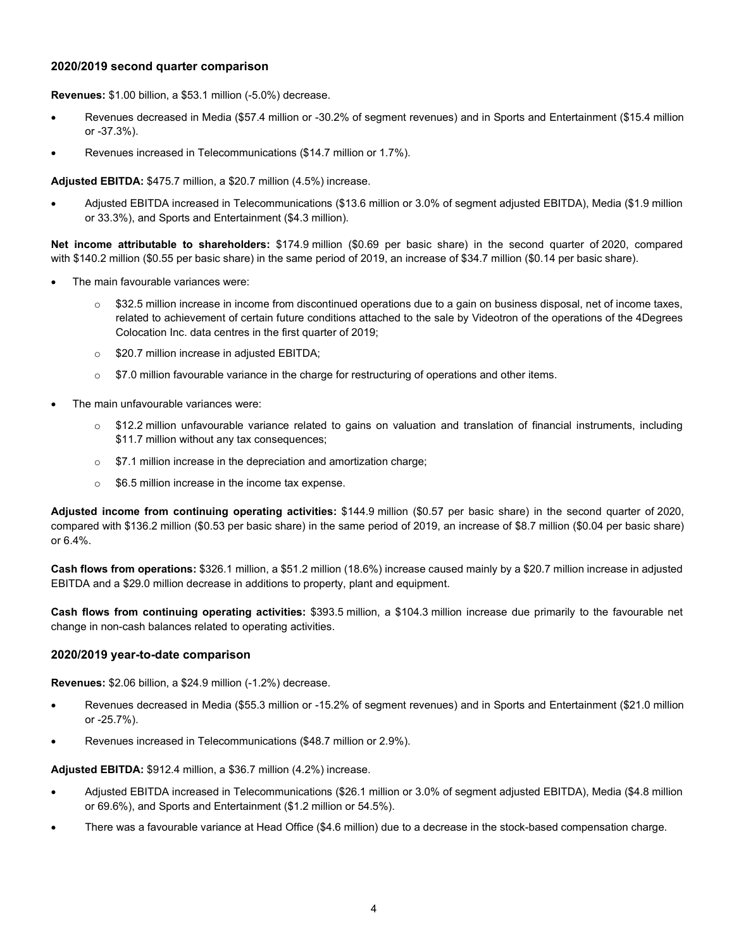#### **2020/2019 second quarter comparison**

**Revenues:** \$1.00 billion, a \$53.1 million (-5.0%) decrease.

- Revenues decreased in Media (\$57.4 million or -30.2% of segment revenues) and in Sports and Entertainment (\$15.4 million or -37.3%).
- Revenues increased in Telecommunications (\$14.7 million or 1.7%).

**Adjusted EBITDA:** \$475.7 million, a \$20.7 million (4.5%) increase.

• Adjusted EBITDA increased in Telecommunications (\$13.6 million or 3.0% of segment adjusted EBITDA), Media (\$1.9 million or 33.3%), and Sports and Entertainment (\$4.3 million).

**Net income attributable to shareholders:** \$174.9 million (\$0.69 per basic share) in the second quarter of 2020, compared with \$140.2 million (\$0.55 per basic share) in the same period of 2019, an increase of \$34.7 million (\$0.14 per basic share).

- The main favourable variances were:
	- $\circ$  \$32.5 million increase in income from discontinued operations due to a gain on business disposal, net of income taxes, related to achievement of certain future conditions attached to the sale by Videotron of the operations of the 4Degrees Colocation Inc. data centres in the first quarter of 2019;
	- o \$20.7 million increase in adjusted EBITDA;
	- $\circ$  \$7.0 million favourable variance in the charge for restructuring of operations and other items.
- The main unfavourable variances were:
	- o \$12.2 million unfavourable variance related to gains on valuation and translation of financial instruments, including \$11.7 million without any tax consequences;
	- o \$7.1 million increase in the depreciation and amortization charge;
	- o \$6.5 million increase in the income tax expense.

**Adjusted income from continuing operating activities:** \$144.9 million (\$0.57 per basic share) in the second quarter of 2020, compared with \$136.2 million (\$0.53 per basic share) in the same period of 2019, an increase of \$8.7 million (\$0.04 per basic share) or 6.4%.

**Cash flows from operations:** \$326.1 million, a \$51.2 million (18.6%) increase caused mainly by a \$20.7 million increase in adjusted EBITDA and a \$29.0 million decrease in additions to property, plant and equipment.

**Cash flows from continuing operating activities:** \$393.5 million, a \$104.3 million increase due primarily to the favourable net change in non-cash balances related to operating activities.

#### **2020/2019 year-to-date comparison**

**Revenues:** \$2.06 billion, a \$24.9 million (-1.2%) decrease.

- Revenues decreased in Media (\$55.3 million or -15.2% of segment revenues) and in Sports and Entertainment (\$21.0 million or -25.7%).
- Revenues increased in Telecommunications (\$48.7 million or 2.9%).

**Adjusted EBITDA:** \$912.4 million, a \$36.7 million (4.2%) increase.

- Adjusted EBITDA increased in Telecommunications (\$26.1 million or 3.0% of segment adjusted EBITDA), Media (\$4.8 million or 69.6%), and Sports and Entertainment (\$1.2 million or 54.5%).
- There was a favourable variance at Head Office (\$4.6 million) due to a decrease in the stock-based compensation charge.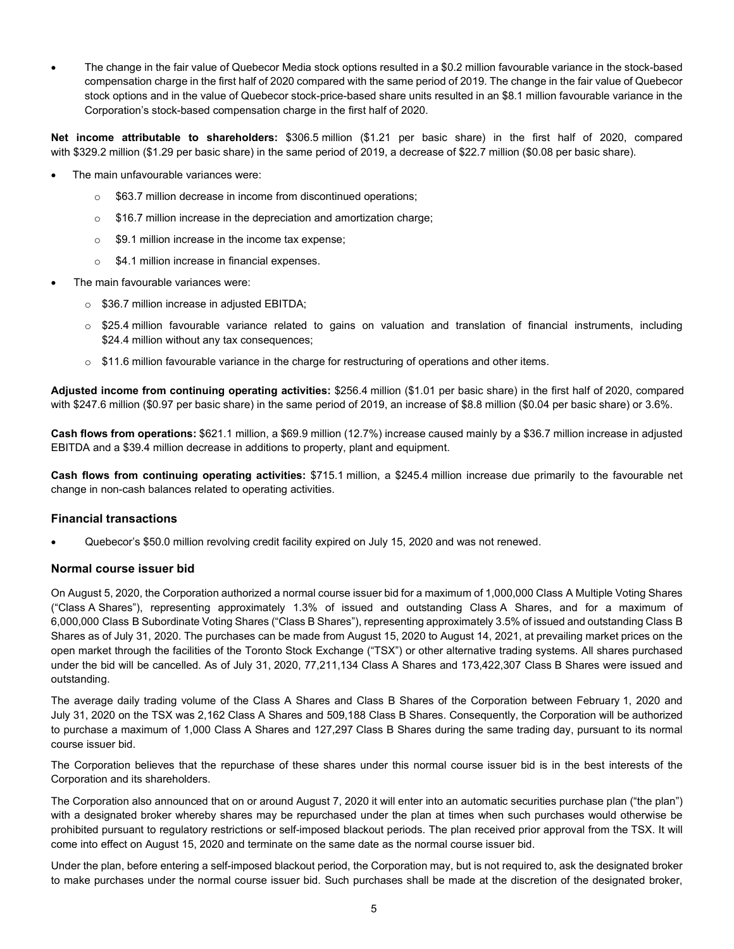• The change in the fair value of Quebecor Media stock options resulted in a \$0.2 million favourable variance in the stock-based compensation charge in the first half of 2020 compared with the same period of 2019. The change in the fair value of Quebecor stock options and in the value of Quebecor stock-price-based share units resulted in an \$8.1 million favourable variance in the Corporation's stock-based compensation charge in the first half of 2020.

**Net income attributable to shareholders:** \$306.5 million (\$1.21 per basic share) in the first half of 2020, compared with \$329.2 million (\$1.29 per basic share) in the same period of 2019, a decrease of \$22.7 million (\$0.08 per basic share).

- The main unfavourable variances were:
	- o \$63.7 million decrease in income from discontinued operations;
	- o \$16.7 million increase in the depreciation and amortization charge;
	- o \$9.1 million increase in the income tax expense;
	- o \$4.1 million increase in financial expenses.
- The main favourable variances were:
	- o \$36.7 million increase in adjusted EBITDA;
	- o \$25.4 million favourable variance related to gains on valuation and translation of financial instruments, including \$24.4 million without any tax consequences;
	- $\circ$  \$11.6 million favourable variance in the charge for restructuring of operations and other items.

**Adjusted income from continuing operating activities:** \$256.4 million (\$1.01 per basic share) in the first half of 2020, compared with \$247.6 million (\$0.97 per basic share) in the same period of 2019, an increase of \$8.8 million (\$0.04 per basic share) or 3.6%.

**Cash flows from operations:** \$621.1 million, a \$69.9 million (12.7%) increase caused mainly by a \$36.7 million increase in adjusted EBITDA and a \$39.4 million decrease in additions to property, plant and equipment.

**Cash flows from continuing operating activities:** \$715.1 million, a \$245.4 million increase due primarily to the favourable net change in non-cash balances related to operating activities.

#### **Financial transactions**

• Quebecor's \$50.0 million revolving credit facility expired on July 15, 2020 and was not renewed.

#### **Normal course issuer bid**

On August 5, 2020, the Corporation authorized a normal course issuer bid for a maximum of 1,000,000 Class A Multiple Voting Shares ("Class A Shares"), representing approximately 1.3% of issued and outstanding Class A Shares, and for a maximum of 6,000,000 Class B Subordinate Voting Shares ("Class B Shares"), representing approximately 3.5% of issued and outstanding Class B Shares as of July 31, 2020. The purchases can be made from August 15, 2020 to August 14, 2021, at prevailing market prices on the open market through the facilities of the Toronto Stock Exchange ("TSX") or other alternative trading systems. All shares purchased under the bid will be cancelled. As of July 31, 2020, 77,211,134 Class A Shares and 173,422,307 Class B Shares were issued and outstanding.

The average daily trading volume of the Class A Shares and Class B Shares of the Corporation between February 1, 2020 and July 31, 2020 on the TSX was 2,162 Class A Shares and 509,188 Class B Shares. Consequently, the Corporation will be authorized to purchase a maximum of 1,000 Class A Shares and 127,297 Class B Shares during the same trading day, pursuant to its normal course issuer bid.

The Corporation believes that the repurchase of these shares under this normal course issuer bid is in the best interests of the Corporation and its shareholders.

The Corporation also announced that on or around August 7, 2020 it will enter into an automatic securities purchase plan ("the plan") with a designated broker whereby shares may be repurchased under the plan at times when such purchases would otherwise be prohibited pursuant to regulatory restrictions or self-imposed blackout periods. The plan received prior approval from the TSX. It will come into effect on August 15, 2020 and terminate on the same date as the normal course issuer bid.

Under the plan, before entering a self-imposed blackout period, the Corporation may, but is not required to, ask the designated broker to make purchases under the normal course issuer bid. Such purchases shall be made at the discretion of the designated broker,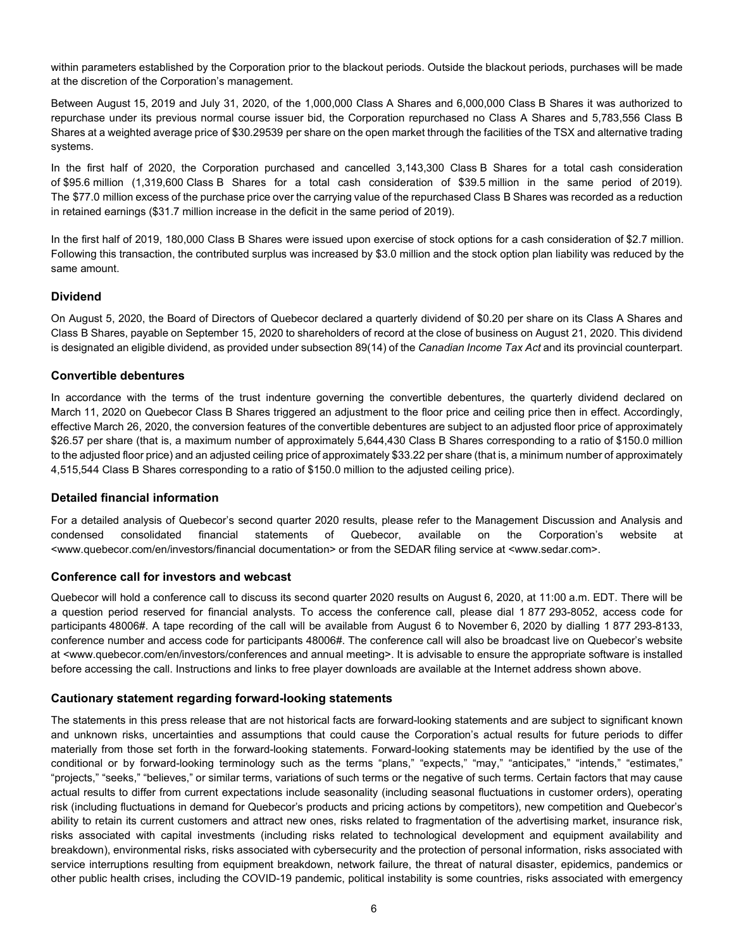within parameters established by the Corporation prior to the blackout periods. Outside the blackout periods, purchases will be made at the discretion of the Corporation's management.

Between August 15, 2019 and July 31, 2020, of the 1,000,000 Class A Shares and 6,000,000 Class B Shares it was authorized to repurchase under its previous normal course issuer bid, the Corporation repurchased no Class A Shares and 5,783,556 Class B Shares at a weighted average price of \$30.29539 per share on the open market through the facilities of the TSX and alternative trading systems.

In the first half of 2020, the Corporation purchased and cancelled 3,143,300 Class B Shares for a total cash consideration of \$95.6 million (1,319,600 Class B Shares for a total cash consideration of \$39.5 million in the same period of 2019). The \$77.0 million excess of the purchase price over the carrying value of the repurchased Class B Shares was recorded as a reduction in retained earnings (\$31.7 million increase in the deficit in the same period of 2019).

In the first half of 2019, 180,000 Class B Shares were issued upon exercise of stock options for a cash consideration of \$2.7 million. Following this transaction, the contributed surplus was increased by \$3.0 million and the stock option plan liability was reduced by the same amount.

#### **Dividend**

On August 5, 2020, the Board of Directors of Quebecor declared a quarterly dividend of \$0.20 per share on its Class A Shares and Class B Shares, payable on September 15, 2020 to shareholders of record at the close of business on August 21, 2020. This dividend is designated an eligible dividend, as provided under subsection 89(14) of the *Canadian Income Tax Act* and its provincial counterpart.

#### **Convertible debentures**

In accordance with the terms of the trust indenture governing the convertible debentures, the quarterly dividend declared on March 11, 2020 on Quebecor Class B Shares triggered an adjustment to the floor price and ceiling price then in effect. Accordingly, effective March 26, 2020, the conversion features of the convertible debentures are subject to an adjusted floor price of approximately \$26.57 per share (that is, a maximum number of approximately 5,644,430 Class B Shares corresponding to a ratio of \$150.0 million to the adjusted floor price) and an adjusted ceiling price of approximately \$33.22 per share (that is, a minimum number of approximately 4,515,544 Class B Shares corresponding to a ratio of \$150.0 million to the adjusted ceiling price).

#### **Detailed financial information**

For a detailed analysis of Quebecor's second quarter 2020 results, please refer to the Management Discussion and Analysis and condensed consolidated financial statements of Quebecor, available on the Corporation's website at <www.quebecor.com/en/investors/financial documentation> or from the SEDAR filing service at <www.sedar.com>.

#### **Conference call for investors and webcast**

Quebecor will hold a conference call to discuss its second quarter 2020 results on August 6, 2020, at 11:00 a.m. EDT. There will be a question period reserved for financial analysts. To access the conference call, please dial 1 877 293-8052, access code for participants 48006#. A tape recording of the call will be available from August 6 to November 6, 2020 by dialling 1 877 293-8133, conference number and access code for participants 48006#. The conference call will also be broadcast live on Quebecor's website at <www.quebecor.com/en/investors/conferences and annual meeting>. It is advisable to ensure the appropriate software is installed before accessing the call. Instructions and links to free player downloads are available at the Internet address shown above.

#### **Cautionary statement regarding forward-looking statements**

The statements in this press release that are not historical facts are forward-looking statements and are subject to significant known and unknown risks, uncertainties and assumptions that could cause the Corporation's actual results for future periods to differ materially from those set forth in the forward-looking statements. Forward-looking statements may be identified by the use of the conditional or by forward-looking terminology such as the terms "plans," "expects," "may," "anticipates," "intends," "estimates," "projects," "seeks," "believes," or similar terms, variations of such terms or the negative of such terms. Certain factors that may cause actual results to differ from current expectations include seasonality (including seasonal fluctuations in customer orders), operating risk (including fluctuations in demand for Quebecor's products and pricing actions by competitors), new competition and Quebecor's ability to retain its current customers and attract new ones, risks related to fragmentation of the advertising market, insurance risk, risks associated with capital investments (including risks related to technological development and equipment availability and breakdown), environmental risks, risks associated with cybersecurity and the protection of personal information, risks associated with service interruptions resulting from equipment breakdown, network failure, the threat of natural disaster, epidemics, pandemics or other public health crises, including the COVID-19 pandemic, political instability is some countries, risks associated with emergency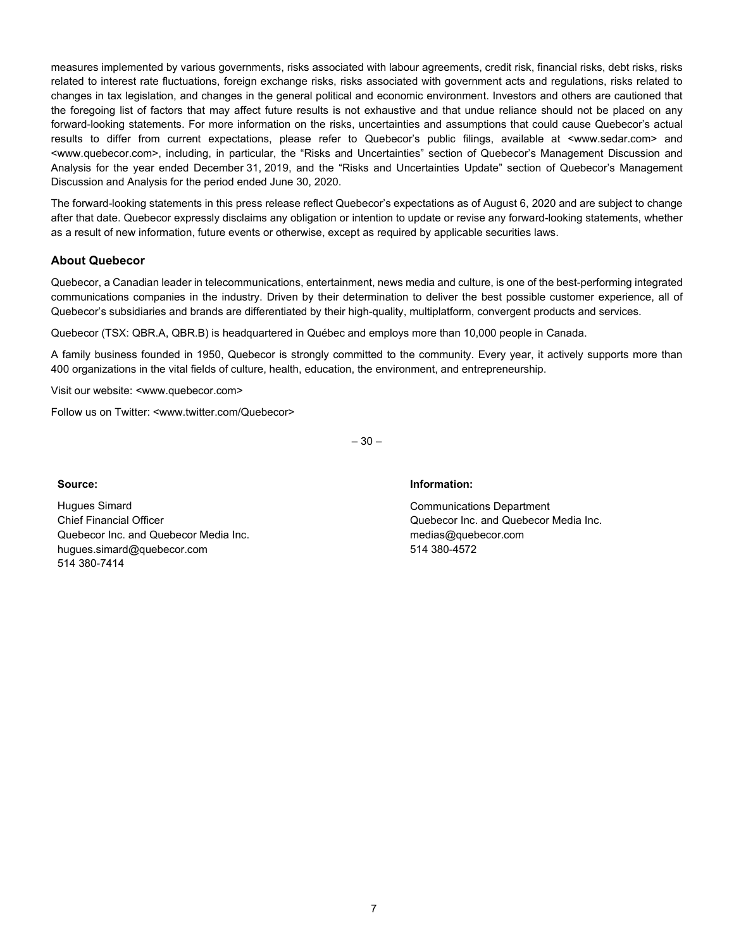measures implemented by various governments, risks associated with labour agreements, credit risk, financial risks, debt risks, risks related to interest rate fluctuations, foreign exchange risks, risks associated with government acts and regulations, risks related to changes in tax legislation, and changes in the general political and economic environment. Investors and others are cautioned that the foregoing list of factors that may affect future results is not exhaustive and that undue reliance should not be placed on any forward-looking statements. For more information on the risks, uncertainties and assumptions that could cause Quebecor's actual results to differ from current expectations, please refer to Quebecor's public filings, available at <www.sedar.com> and <www.quebecor.com>, including, in particular, the "Risks and Uncertainties" section of Quebecor's Management Discussion and Analysis for the year ended December 31, 2019, and the "Risks and Uncertainties Update" section of Quebecor's Management Discussion and Analysis for the period ended June 30, 2020.

The forward-looking statements in this press release reflect Quebecor's expectations as of August 6, 2020 and are subject to change after that date. Quebecor expressly disclaims any obligation or intention to update or revise any forward-looking statements, whether as a result of new information, future events or otherwise, except as required by applicable securities laws.

#### **About Quebecor**

Quebecor, a Canadian leader in telecommunications, entertainment, news media and culture, is one of the best-performing integrated communications companies in the industry. Driven by their determination to deliver the best possible customer experience, all of Quebecor's subsidiaries and brands are differentiated by their high-quality, multiplatform, convergent products and services.

Quebecor (TSX: QBR.A, QBR.B) is headquartered in Québec and employs more than 10,000 people in Canada.

A family business founded in 1950, Quebecor is strongly committed to the community. Every year, it actively supports more than 400 organizations in the vital fields of culture, health, education, the environment, and entrepreneurship.

Visit our website: <www.quebecor.com>

Follow us on Twitter: <www.twitter.com/Quebecor>

 $-30-$ 

Hugues Simard Chief Financial Officer Quebecor Inc. and Quebecor Media Inc. hugues.simard@quebecor.com 514 380-7414

#### **Source: Information:**

Communications Department Quebecor Inc. and Quebecor Media Inc. medias@quebecor.com 514 380-4572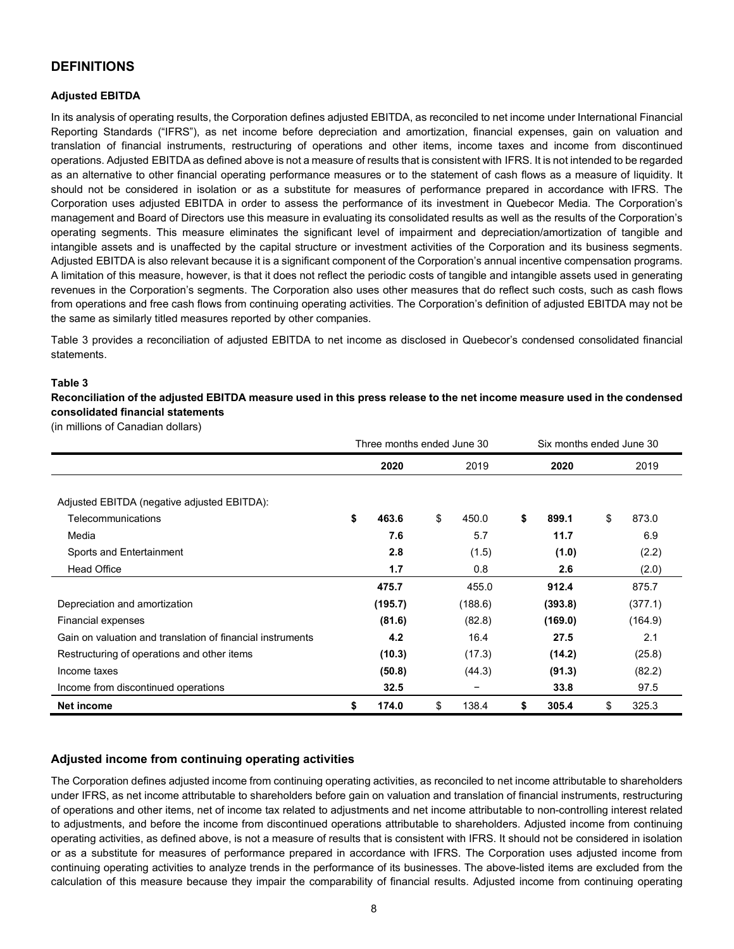### **DEFINITIONS**

#### **Adjusted EBITDA**

In its analysis of operating results, the Corporation defines adjusted EBITDA, as reconciled to net income under International Financial Reporting Standards ("IFRS"), as net income before depreciation and amortization, financial expenses, gain on valuation and translation of financial instruments, restructuring of operations and other items, income taxes and income from discontinued operations. Adjusted EBITDA as defined above is not a measure of results that is consistent with IFRS. It is not intended to be regarded as an alternative to other financial operating performance measures or to the statement of cash flows as a measure of liquidity. It should not be considered in isolation or as a substitute for measures of performance prepared in accordance with IFRS. The Corporation uses adjusted EBITDA in order to assess the performance of its investment in Quebecor Media. The Corporation's management and Board of Directors use this measure in evaluating its consolidated results as well as the results of the Corporation's operating segments. This measure eliminates the significant level of impairment and depreciation/amortization of tangible and intangible assets and is unaffected by the capital structure or investment activities of the Corporation and its business segments. Adjusted EBITDA is also relevant because it is a significant component of the Corporation's annual incentive compensation programs. A limitation of this measure, however, is that it does not reflect the periodic costs of tangible and intangible assets used in generating revenues in the Corporation's segments. The Corporation also uses other measures that do reflect such costs, such as cash flows from operations and free cash flows from continuing operating activities. The Corporation's definition of adjusted EBITDA may not be the same as similarly titled measures reported by other companies.

Table 3 provides a reconciliation of adjusted EBITDA to net income as disclosed in Quebecor's condensed consolidated financial statements.

#### **Table 3**

**Reconciliation of the adjusted EBITDA measure used in this press release to the net income measure used in the condensed consolidated financial statements**

(in millions of Canadian dollars)

|                                                            |             | Three months ended June 30<br>Six months ended June 30 |         |    |         |    |         |  |
|------------------------------------------------------------|-------------|--------------------------------------------------------|---------|----|---------|----|---------|--|
|                                                            | 2020        |                                                        | 2019    |    | 2020    |    | 2019    |  |
|                                                            |             |                                                        |         |    |         |    |         |  |
| Adjusted EBITDA (negative adjusted EBITDA):                |             |                                                        |         |    |         |    |         |  |
| Telecommunications                                         | \$<br>463.6 | \$                                                     | 450.0   | \$ | 899.1   | \$ | 873.0   |  |
| Media                                                      | 7.6         |                                                        | 5.7     |    | 11.7    |    | 6.9     |  |
| Sports and Entertainment                                   | 2.8         |                                                        | (1.5)   |    | (1.0)   |    | (2.2)   |  |
| <b>Head Office</b>                                         | 1.7         |                                                        | 0.8     |    | 2.6     |    | (2.0)   |  |
|                                                            | 475.7       |                                                        | 455.0   |    | 912.4   |    | 875.7   |  |
| Depreciation and amortization                              | (195.7)     |                                                        | (188.6) |    | (393.8) |    | (377.1) |  |
| Financial expenses                                         | (81.6)      |                                                        | (82.8)  |    | (169.0) |    | (164.9) |  |
| Gain on valuation and translation of financial instruments | 4.2         |                                                        | 16.4    |    | 27.5    |    | 2.1     |  |
| Restructuring of operations and other items                | (10.3)      |                                                        | (17.3)  |    | (14.2)  |    | (25.8)  |  |
| Income taxes                                               | (50.8)      |                                                        | (44.3)  |    | (91.3)  |    | (82.2)  |  |
| Income from discontinued operations                        | 32.5        |                                                        |         |    | 33.8    |    | 97.5    |  |
| Net income                                                 | \$<br>174.0 | \$                                                     | 138.4   | \$ | 305.4   | \$ | 325.3   |  |

#### **Adjusted income from continuing operating activities**

The Corporation defines adjusted income from continuing operating activities, as reconciled to net income attributable to shareholders under IFRS, as net income attributable to shareholders before gain on valuation and translation of financial instruments, restructuring of operations and other items, net of income tax related to adjustments and net income attributable to non-controlling interest related to adjustments, and before the income from discontinued operations attributable to shareholders. Adjusted income from continuing operating activities, as defined above, is not a measure of results that is consistent with IFRS. It should not be considered in isolation or as a substitute for measures of performance prepared in accordance with IFRS. The Corporation uses adjusted income from continuing operating activities to analyze trends in the performance of its businesses. The above-listed items are excluded from the calculation of this measure because they impair the comparability of financial results. Adjusted income from continuing operating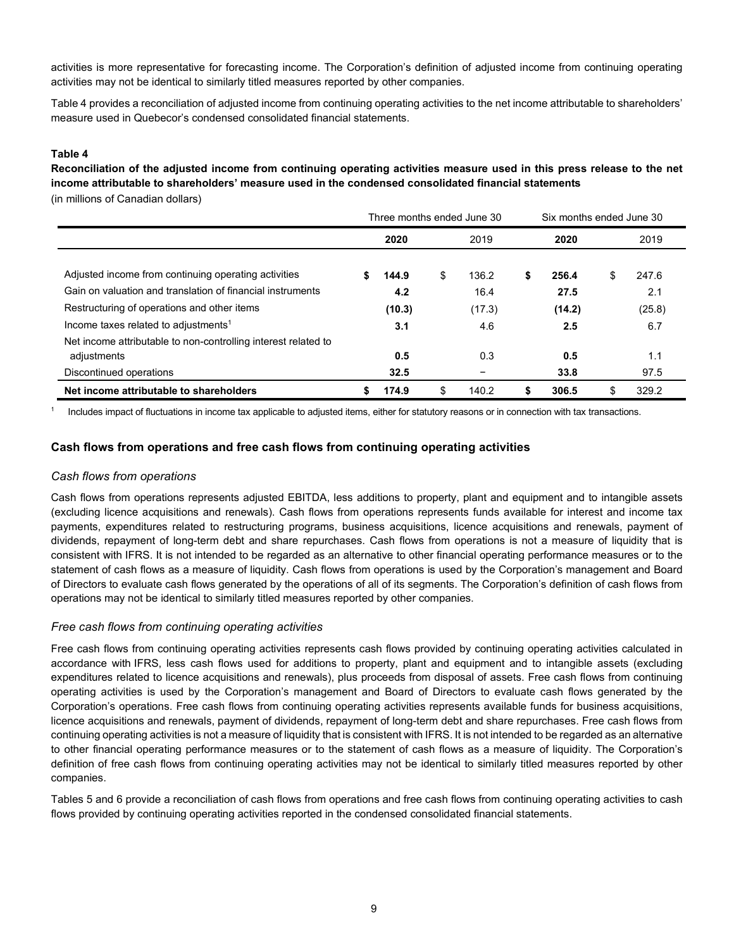activities is more representative for forecasting income. The Corporation's definition of adjusted income from continuing operating activities may not be identical to similarly titled measures reported by other companies.

Table 4 provides a reconciliation of adjusted income from continuing operating activities to the net income attributable to shareholders' measure used in Quebecor's condensed consolidated financial statements.

#### **Table 4**

**Reconciliation of the adjusted income from continuing operating activities measure used in this press release to the net income attributable to shareholders' measure used in the condensed consolidated financial statements**  (in millions of Canadian dollars)

|                                                                |   | Three months ended June 30 |             |    | Six months ended June 30 |    |        |
|----------------------------------------------------------------|---|----------------------------|-------------|----|--------------------------|----|--------|
|                                                                |   | 2020                       | 2019        |    | 2020                     |    | 2019   |
| Adjusted income from continuing operating activities           |   | 144.9                      | \$<br>136.2 | \$ | 256.4                    | \$ | 247.6  |
| Gain on valuation and translation of financial instruments     |   | 4.2                        | 16.4        |    | 27.5                     |    | 2.1    |
| Restructuring of operations and other items                    |   | (10.3)                     | (17.3)      |    | (14.2)                   |    | (25.8) |
| Income taxes related to adjustments <sup>1</sup>               |   | 3.1                        | 4.6         |    | 2.5                      |    | 6.7    |
| Net income attributable to non-controlling interest related to |   |                            |             |    |                          |    |        |
| adjustments                                                    |   | 0.5                        | 0.3         |    | 0.5                      |    | 1.1    |
| Discontinued operations                                        |   | 32.5                       |             |    | 33.8                     |    | 97.5   |
| Net income attributable to shareholders                        | S | 174.9                      | \$<br>140.2 | S  | 306.5                    | S  | 329.2  |

<sup>1</sup> Includes impact of fluctuations in income tax applicable to adjusted items, either for statutory reasons or in connection with tax transactions.

#### **Cash flows from operations and free cash flows from continuing operating activities**

#### *Cash flows from operations*

Cash flows from operations represents adjusted EBITDA, less additions to property, plant and equipment and to intangible assets (excluding licence acquisitions and renewals). Cash flows from operations represents funds available for interest and income tax payments, expenditures related to restructuring programs, business acquisitions, licence acquisitions and renewals, payment of dividends, repayment of long-term debt and share repurchases. Cash flows from operations is not a measure of liquidity that is consistent with IFRS. It is not intended to be regarded as an alternative to other financial operating performance measures or to the statement of cash flows as a measure of liquidity. Cash flows from operations is used by the Corporation's management and Board of Directors to evaluate cash flows generated by the operations of all of its segments. The Corporation's definition of cash flows from operations may not be identical to similarly titled measures reported by other companies.

#### *Free cash flows from continuing operating activities*

Free cash flows from continuing operating activities represents cash flows provided by continuing operating activities calculated in accordance with IFRS, less cash flows used for additions to property, plant and equipment and to intangible assets (excluding expenditures related to licence acquisitions and renewals), plus proceeds from disposal of assets. Free cash flows from continuing operating activities is used by the Corporation's management and Board of Directors to evaluate cash flows generated by the Corporation's operations. Free cash flows from continuing operating activities represents available funds for business acquisitions, licence acquisitions and renewals, payment of dividends, repayment of long-term debt and share repurchases. Free cash flows from continuing operating activities is not a measure of liquidity that is consistent with IFRS. It is not intended to be regarded as an alternative to other financial operating performance measures or to the statement of cash flows as a measure of liquidity. The Corporation's definition of free cash flows from continuing operating activities may not be identical to similarly titled measures reported by other companies.

Tables 5 and 6 provide a reconciliation of cash flows from operations and free cash flows from continuing operating activities to cash flows provided by continuing operating activities reported in the condensed consolidated financial statements.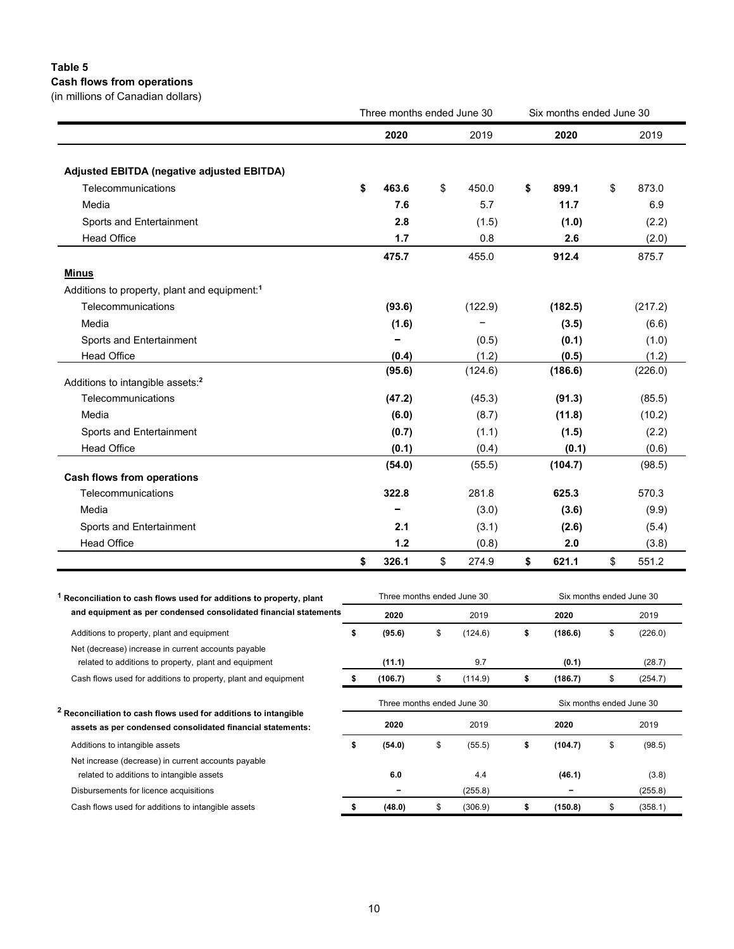# **Table 5**

**Cash flows from operations** (in millions of Canadian dollars)

|                                                          | Three months ended June 30 |             | Six months ended June 30 |             |
|----------------------------------------------------------|----------------------------|-------------|--------------------------|-------------|
|                                                          | 2020                       | 2019        | 2020                     | 2019        |
| Adjusted EBITDA (negative adjusted EBITDA)               |                            |             |                          |             |
| Telecommunications                                       | \$<br>463.6                | \$<br>450.0 | \$<br>899.1              | \$<br>873.0 |
| Media                                                    | 7.6                        | 5.7         | 11.7                     | 6.9         |
| Sports and Entertainment                                 | 2.8                        | (1.5)       | (1.0)                    | (2.2)       |
| <b>Head Office</b>                                       | 1.7                        | 0.8         | 2.6                      | (2.0)       |
|                                                          | 475.7                      | 455.0       | 912.4                    | 875.7       |
| <b>Minus</b>                                             |                            |             |                          |             |
| Additions to property, plant and equipment: <sup>1</sup> |                            |             |                          |             |
| Telecommunications                                       | (93.6)                     | (122.9)     | (182.5)                  | (217.2)     |
| Media                                                    | (1.6)                      |             | (3.5)                    | (6.6)       |
| Sports and Entertainment                                 |                            | (0.5)       | (0.1)                    | (1.0)       |
| <b>Head Office</b>                                       | (0.4)                      | (1.2)       | (0.5)                    | (1.2)       |
|                                                          | (95.6)                     | (124.6)     | (186.6)                  | (226.0)     |
| Additions to intangible assets: <sup>2</sup>             |                            |             |                          |             |
| Telecommunications                                       | (47.2)                     | (45.3)      | (91.3)                   | (85.5)      |
| Media                                                    | (6.0)                      | (8.7)       | (11.8)                   | (10.2)      |
| Sports and Entertainment                                 | (0.7)                      | (1.1)       | (1.5)                    | (2.2)       |
| <b>Head Office</b>                                       | (0.1)                      | (0.4)       | (0.1)                    | (0.6)       |
|                                                          | (54.0)                     | (55.5)      | (104.7)                  | (98.5)      |
| <b>Cash flows from operations</b>                        |                            |             |                          |             |
| Telecommunications                                       | 322.8                      | 281.8       | 625.3                    | 570.3       |
| Media                                                    |                            | (3.0)       | (3.6)                    | (9.9)       |
| Sports and Entertainment                                 | 2.1                        | (3.1)       | (2.6)                    | (5.4)       |
| <b>Head Office</b>                                       | 1.2                        | (0.8)       | 2.0                      | (3.8)       |
|                                                          | \$<br>326.1                | \$<br>274.9 | \$<br>621.1              | \$<br>551.2 |

| Reconciliation to cash flows used for additions to property, plant                                                                       |   | Three months ended June 30         |               |                                  | Six months ended June 30 |  |  |
|------------------------------------------------------------------------------------------------------------------------------------------|---|------------------------------------|---------------|----------------------------------|--------------------------|--|--|
| and equipment as per condensed consolidated financial statements                                                                         |   | 2020                               | 2019          | 2020                             | 2019                     |  |  |
| Additions to property, plant and equipment                                                                                               | S | (95.6)                             | \$<br>(124.6) | \$<br>(186.6)                    | \$<br>(226.0)            |  |  |
| Net (decrease) increase in current accounts payable<br>related to additions to property, plant and equipment                             |   | (11.1)                             | 9.7           | (0.1)                            | (28.7)                   |  |  |
| Cash flows used for additions to property, plant and equipment                                                                           |   | (106.7)                            | \$<br>(114.9) | \$<br>(186.7)                    | \$<br>(254.7)            |  |  |
| <sup>2</sup> Reconciliation to cash flows used for additions to intangible<br>assets as per condensed consolidated financial statements: |   | Three months ended June 30<br>2020 | 2019          | Six months ended June 30<br>2020 | 2019                     |  |  |
| Additions to intangible assets                                                                                                           | S | (54.0)                             | \$<br>(55.5)  | \$<br>(104.7)                    | \$<br>(98.5)             |  |  |
| Net increase (decrease) in current accounts payable                                                                                      |   |                                    |               |                                  |                          |  |  |
| related to additions to intangible assets                                                                                                |   | 6.0                                | 4.4           | (46.1)                           | (3.8)                    |  |  |
| Disbursements for licence acquisitions                                                                                                   |   |                                    | (255.8)       |                                  | (255.8)                  |  |  |
| Cash flows used for additions to intangible assets                                                                                       |   | (48.0)                             | \$<br>(306.9) | \$<br>(150.8)                    | \$<br>(358.1)            |  |  |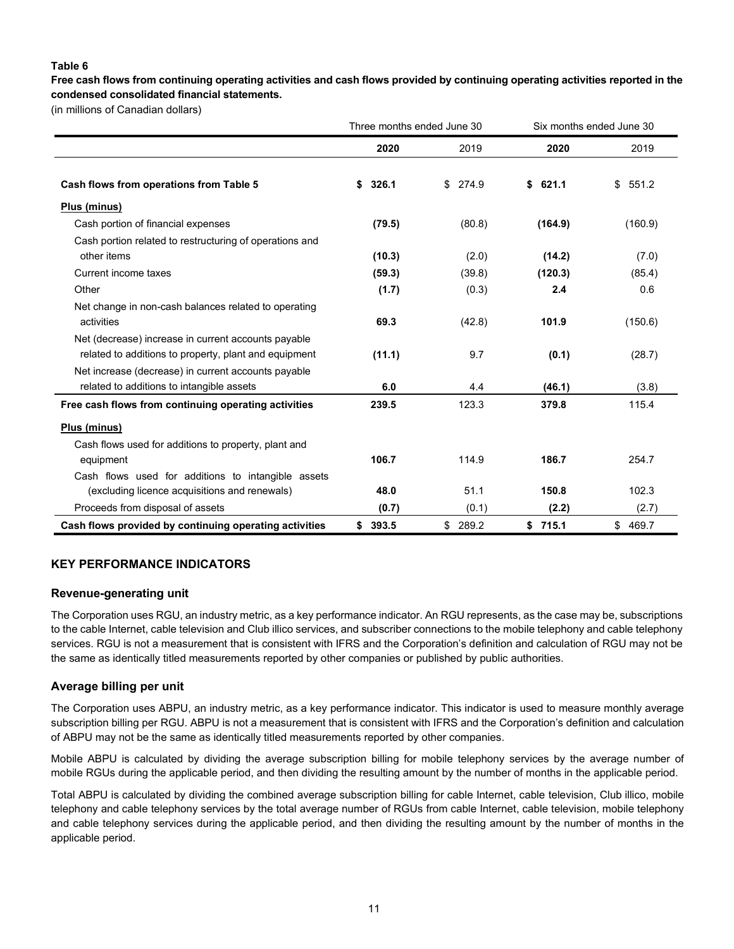#### **Table 6**

**Free cash flows from continuing operating activities and cash flows provided by continuing operating activities reported in the condensed consolidated financial statements.**

(in millions of Canadian dollars)

|                                                         | Three months ended June 30 |             |             | Six months ended June 30 |
|---------------------------------------------------------|----------------------------|-------------|-------------|--------------------------|
|                                                         | 2020                       | 2019        | 2020        | 2019                     |
| Cash flows from operations from Table 5                 | 326.1<br>S                 | 274.9<br>\$ | 621.1<br>\$ | 551.2<br>\$              |
| Plus (minus)                                            |                            |             |             |                          |
| Cash portion of financial expenses                      | (79.5)                     | (80.8)      | (164.9)     | (160.9)                  |
| Cash portion related to restructuring of operations and |                            |             |             |                          |
| other items                                             | (10.3)                     | (2.0)       | (14.2)      | (7.0)                    |
| Current income taxes                                    | (59.3)                     | (39.8)      | (120.3)     | (85.4)                   |
| Other                                                   | (1.7)                      | (0.3)       | 2.4         | 0.6                      |
| Net change in non-cash balances related to operating    |                            |             |             |                          |
| activities                                              | 69.3                       | (42.8)      | 101.9       | (150.6)                  |
| Net (decrease) increase in current accounts payable     |                            |             |             |                          |
| related to additions to property, plant and equipment   | (11.1)                     | 9.7         | (0.1)       | (28.7)                   |
| Net increase (decrease) in current accounts payable     |                            |             |             |                          |
| related to additions to intangible assets               | 6.0                        | 4.4         | (46.1)      | (3.8)                    |
| Free cash flows from continuing operating activities    | 239.5                      | 123.3       | 379.8       | 115.4                    |
| Plus (minus)                                            |                            |             |             |                          |
| Cash flows used for additions to property, plant and    |                            |             |             |                          |
| equipment                                               | 106.7                      | 114.9       | 186.7       | 254.7                    |
| Cash flows used for additions to intangible assets      |                            |             |             |                          |
| (excluding licence acquisitions and renewals)           | 48.0                       | 51.1        | 150.8       | 102.3                    |
| Proceeds from disposal of assets                        | (0.7)                      | (0.1)       | (2.2)       | (2.7)                    |
| Cash flows provided by continuing operating activities  | 393.5<br>\$                | 289.2<br>\$ | \$715.1     | 469.7<br>\$              |

### **KEY PERFORMANCE INDICATORS**

#### **Revenue-generating unit**

The Corporation uses RGU, an industry metric, as a key performance indicator. An RGU represents, as the case may be, subscriptions to the cable Internet, cable television and Club illico services, and subscriber connections to the mobile telephony and cable telephony services. RGU is not a measurement that is consistent with IFRS and the Corporation's definition and calculation of RGU may not be the same as identically titled measurements reported by other companies or published by public authorities.

#### **Average billing per unit**

The Corporation uses ABPU, an industry metric, as a key performance indicator. This indicator is used to measure monthly average subscription billing per RGU. ABPU is not a measurement that is consistent with IFRS and the Corporation's definition and calculation of ABPU may not be the same as identically titled measurements reported by other companies.

Mobile ABPU is calculated by dividing the average subscription billing for mobile telephony services by the average number of mobile RGUs during the applicable period, and then dividing the resulting amount by the number of months in the applicable period.

Total ABPU is calculated by dividing the combined average subscription billing for cable Internet, cable television, Club illico, mobile telephony and cable telephony services by the total average number of RGUs from cable Internet, cable television, mobile telephony and cable telephony services during the applicable period, and then dividing the resulting amount by the number of months in the applicable period.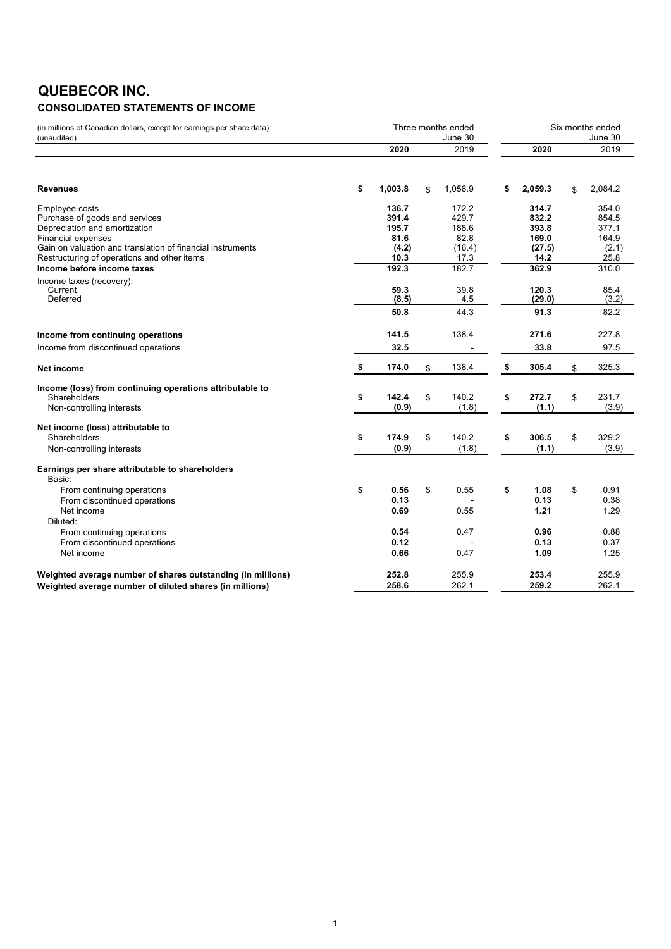### **QUEBECOR INC. CONSOLIDATED STATEMENTS OF INCOME**

| (in millions of Canadian dollars, except for earnings per share data)<br>(unaudited)                                                                                                                                          | Three months ended                                 |    | Six months ended<br>June 30                       |    |                                                    |    |                                                   |
|-------------------------------------------------------------------------------------------------------------------------------------------------------------------------------------------------------------------------------|----------------------------------------------------|----|---------------------------------------------------|----|----------------------------------------------------|----|---------------------------------------------------|
|                                                                                                                                                                                                                               | 2020                                               |    | 2019                                              |    | 2020                                               |    | 2019                                              |
| <b>Revenues</b>                                                                                                                                                                                                               | \$<br>1,003.8                                      | \$ | 1,056.9                                           | \$ | 2,059.3                                            | \$ | 2,084.2                                           |
| Employee costs<br>Purchase of goods and services<br>Depreciation and amortization<br><b>Financial expenses</b><br>Gain on valuation and translation of financial instruments<br>Restructuring of operations and other items   | 136.7<br>391.4<br>195.7<br>81.6<br>(4.2)<br>10.3   |    | 172.2<br>429.7<br>188.6<br>82.8<br>(16.4)<br>17.3 |    | 314.7<br>832.2<br>393.8<br>169.0<br>(27.5)<br>14.2 |    | 354.0<br>854.5<br>377.1<br>164.9<br>(2.1)<br>25.8 |
| Income before income taxes<br>Income taxes (recovery):<br>Current<br>Deferred                                                                                                                                                 | 192.3<br>59.3<br>(8.5)<br>50.8                     |    | 182.7<br>39.8<br>4.5<br>44.3                      |    | 362.9<br>120.3<br>(29.0)<br>91.3                   |    | 310.0<br>85.4<br>(3.2)<br>82.2                    |
| Income from continuing operations<br>Income from discontinued operations                                                                                                                                                      | 141.5<br>32.5                                      |    | 138.4                                             |    | 271.6<br>33.8                                      |    | 227.8<br>97.5                                     |
| Net income                                                                                                                                                                                                                    | \$<br>174.0                                        | \$ | 138.4                                             | \$ | 305.4                                              | \$ | 325.3                                             |
| Income (loss) from continuing operations attributable to<br>Shareholders<br>Non-controlling interests                                                                                                                         | \$<br>142.4<br>(0.9)                               | \$ | 140.2<br>(1.8)                                    | \$ | 272.7<br>(1.1)                                     | \$ | 231.7<br>(3.9)                                    |
| Net income (loss) attributable to<br>Shareholders<br>Non-controlling interests                                                                                                                                                | \$<br>174.9<br>(0.9)                               | \$ | 140.2<br>(1.8)                                    | \$ | 306.5<br>(1.1)                                     | \$ | 329.2<br>(3.9)                                    |
| Earnings per share attributable to shareholders<br>Basic:<br>From continuing operations<br>From discontinued operations<br>Net income<br>Diluted:<br>From continuing operations<br>From discontinued operations<br>Net income | \$<br>0.56<br>0.13<br>0.69<br>0.54<br>0.12<br>0.66 | \$ | 0.55<br>0.55<br>0.47<br>0.47                      | \$ | 1.08<br>0.13<br>1.21<br>0.96<br>0.13<br>1.09       | \$ | 0.91<br>0.38<br>1.29<br>0.88<br>0.37<br>1.25      |
| Weighted average number of shares outstanding (in millions)<br>Weighted average number of diluted shares (in millions)                                                                                                        | 252.8<br>258.6                                     |    | 255.9<br>262.1                                    |    | 253.4<br>259.2                                     |    | 255.9<br>262.1                                    |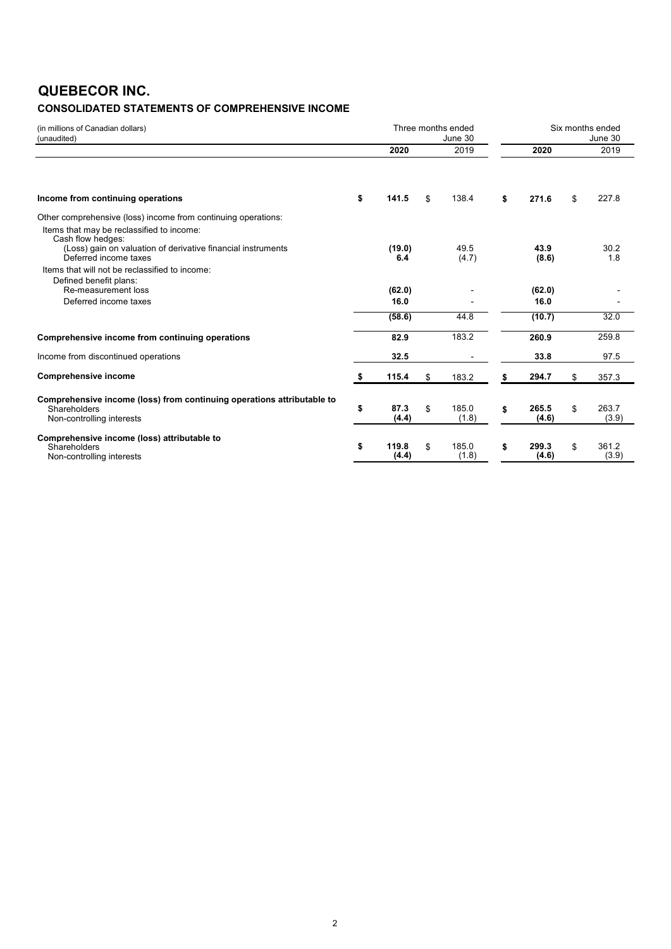### **QUEBECOR INC.**

### **CONSOLIDATED STATEMENTS OF COMPREHENSIVE INCOME**

| (in millions of Canadian dollars)<br>(unaudited)                                                                    |                      | Three months ended<br>June 30 |                      |     | Six months ended<br>June 30 |
|---------------------------------------------------------------------------------------------------------------------|----------------------|-------------------------------|----------------------|-----|-----------------------------|
|                                                                                                                     | 2020                 | 2019                          | 2020                 |     | 2019                        |
| Income from continuing operations                                                                                   | \$<br>141.5          | \$<br>138.4                   | \$<br>271.6          | \$  | 227.8                       |
| Other comprehensive (loss) income from continuing operations:                                                       |                      |                               |                      |     |                             |
| Items that may be reclassified to income:<br>Cash flow hedges:                                                      |                      |                               |                      |     |                             |
| (Loss) gain on valuation of derivative financial instruments<br>Deferred income taxes                               | (19.0)<br>6.4        | 49.5<br>(4.7)                 | 43.9<br>(8.6)        |     | 30.2<br>1.8                 |
| Items that will not be reclassified to income:<br>Defined benefit plans:                                            |                      |                               |                      |     |                             |
| Re-measurement loss                                                                                                 | (62.0)               |                               | (62.0)               |     |                             |
| Deferred income taxes                                                                                               | 16.0                 |                               | 16.0                 |     |                             |
|                                                                                                                     | (58.6)               | 44.8                          | (10.7)               |     | 32.0                        |
| Comprehensive income from continuing operations                                                                     | 82.9                 | 183.2                         | 260.9                |     | 259.8                       |
| Income from discontinued operations                                                                                 | 32.5                 |                               | 33.8                 |     | 97.5                        |
| <b>Comprehensive income</b>                                                                                         | \$<br>115.4          | \$<br>183.2                   | \$<br>294.7          | \$  | 357.3                       |
| Comprehensive income (loss) from continuing operations attributable to<br>Shareholders<br>Non-controlling interests | \$<br>87.3<br>(4.4)  | \$<br>185.0<br>(1.8)          | \$<br>265.5<br>(4.6) | \$. | 263.7<br>(3.9)              |
| Comprehensive income (loss) attributable to<br>Shareholders<br>Non-controlling interests                            | \$<br>119.8<br>(4.4) | \$<br>185.0<br>(1.8)          | \$<br>299.3<br>(4.6) | \$  | 361.2<br>(3.9)              |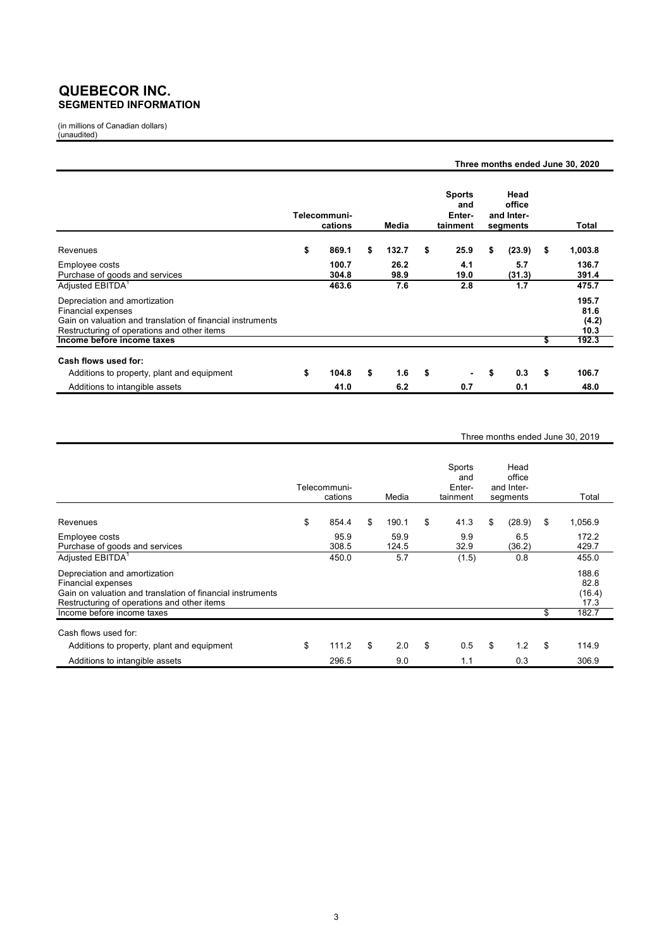### **QUEBECOR INC. SEGMENTED INFORMATION**

(in millions of Canadian dollars) (unaudited)

|                                                                                                                                                                  |    |                         |    |              |    |                                            | Three months ended June 30, 2020         |               |      |                                |
|------------------------------------------------------------------------------------------------------------------------------------------------------------------|----|-------------------------|----|--------------|----|--------------------------------------------|------------------------------------------|---------------|------|--------------------------------|
|                                                                                                                                                                  |    | Telecommuni-<br>cations |    | Media        |    | <b>Sports</b><br>and<br>Enter-<br>tainment | Head<br>office<br>and Inter-<br>segments |               |      | <b>Total</b>                   |
| Revenues                                                                                                                                                         | \$ | 869.1                   | \$ | 132.7        | \$ | 25.9                                       | \$                                       | (23.9)        | - \$ | 1,003.8                        |
| Employee costs<br>Purchase of goods and services                                                                                                                 |    | 100.7<br>304.8          |    | 26.2<br>98.9 |    | 4.1<br>19.0                                |                                          | 5.7<br>(31.3) |      | 136.7<br>391.4                 |
| Adjusted EBITDA <sup>1</sup>                                                                                                                                     |    | 463.6                   |    | 7.6          |    | 2.8                                        |                                          | 1.7           |      | 475.7                          |
| Depreciation and amortization<br>Financial expenses<br>Gain on valuation and translation of financial instruments<br>Restructuring of operations and other items |    |                         |    |              |    |                                            |                                          |               |      | 195.7<br>81.6<br>(4.2)<br>10.3 |
| Income before income taxes                                                                                                                                       |    |                         |    |              |    |                                            |                                          |               | \$   | 192.3                          |
| Cash flows used for:                                                                                                                                             |    |                         |    |              |    |                                            |                                          |               |      |                                |
| Additions to property, plant and equipment                                                                                                                       | \$ | 104.8                   | \$ | 1.6          | \$ | $\blacksquare$                             | \$                                       | 0.3           | \$   | 106.7                          |
| Additions to intangible assets                                                                                                                                   |    | 41.0                    |    | 6.2          |    | 0.7                                        |                                          | 0.1           |      | 48.0                           |

#### Three months ended June 30, 2019

|                                                                                                                                                                  | Telecommuni-<br>cations | Media         | Sports<br>and<br>Enter-<br>tainment | Head<br>office<br>and Inter-<br>segments |     | Total                           |
|------------------------------------------------------------------------------------------------------------------------------------------------------------------|-------------------------|---------------|-------------------------------------|------------------------------------------|-----|---------------------------------|
| Revenues                                                                                                                                                         | \$<br>854.4             | \$<br>190.1   | \$<br>41.3                          | \$<br>(28.9)                             | -\$ | 1,056.9                         |
| Employee costs<br>Purchase of goods and services                                                                                                                 | 95.9<br>308.5           | 59.9<br>124.5 | 9.9<br>32.9                         | 6.5<br>(36.2)                            |     | 172.2<br>429.7                  |
| Adjusted EBITDA <sup>1</sup>                                                                                                                                     | 450.0                   | 5.7           | (1.5)                               | 0.8                                      |     | 455.0                           |
| Depreciation and amortization<br>Financial expenses<br>Gain on valuation and translation of financial instruments<br>Restructuring of operations and other items |                         |               |                                     |                                          |     | 188.6<br>82.8<br>(16.4)<br>17.3 |
| Income before income taxes                                                                                                                                       |                         |               |                                     |                                          | \$  | 182.7                           |
| Cash flows used for:                                                                                                                                             |                         |               |                                     |                                          |     |                                 |
| Additions to property, plant and equipment                                                                                                                       | \$<br>111.2             | \$<br>2.0     | \$<br>0.5                           | \$<br>1.2                                | \$  | 114.9                           |
| Additions to intangible assets                                                                                                                                   | 296.5                   | 9.0           | 1.1                                 | 0.3                                      |     | 306.9                           |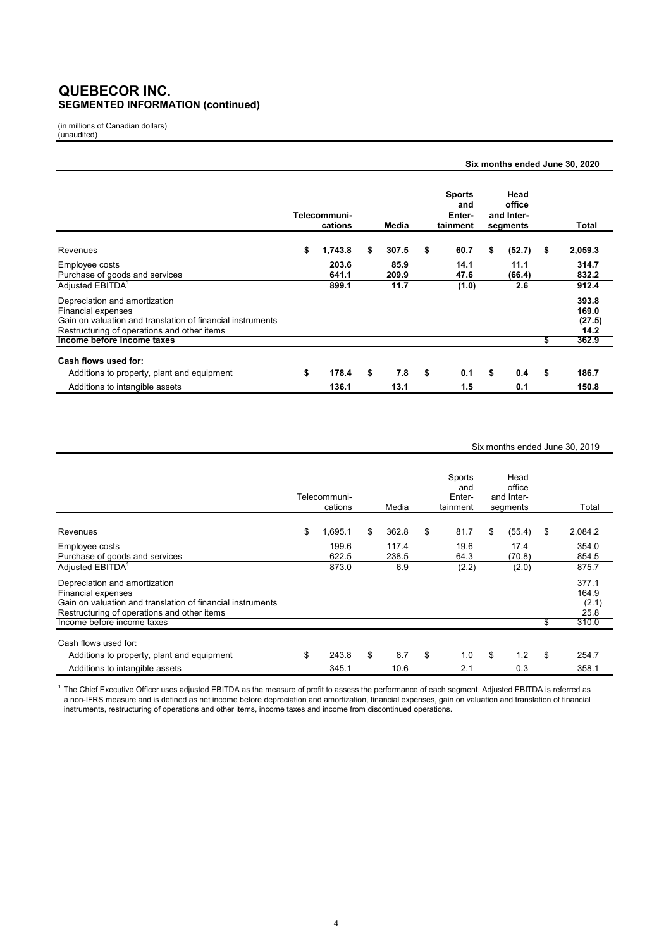### **QUEBECOR INC. SEGMENTED INFORMATION (continued)**

(in millions of Canadian dollars) (unaudited)

|                                                                                                                                                                         |                         |                |    |               |                                            |    |                                          |     | Six months ended June 30, 2020   |
|-------------------------------------------------------------------------------------------------------------------------------------------------------------------------|-------------------------|----------------|----|---------------|--------------------------------------------|----|------------------------------------------|-----|----------------------------------|
|                                                                                                                                                                         | Telecommuni-<br>cations |                |    | Media         | <b>Sports</b><br>and<br>Enter-<br>tainment |    | Head<br>office<br>and Inter-<br>segments |     | <b>Total</b>                     |
| Revenues                                                                                                                                                                | \$                      | 1,743.8        | \$ | 307.5         | \$<br>60.7                                 | \$ | (52.7)                                   | -\$ | 2,059.3                          |
| Employee costs<br>Purchase of goods and services                                                                                                                        |                         | 203.6<br>641.1 |    | 85.9<br>209.9 | 14.1<br>47.6                               |    | 11.1<br>(66.4)                           |     | 314.7<br>832.2                   |
| Adjusted EBITDA <sup>1</sup>                                                                                                                                            |                         | 899.1          |    | 11.7          | (1.0)                                      |    | 2.6                                      |     | 912.4                            |
| Depreciation and amortization<br><b>Financial expenses</b><br>Gain on valuation and translation of financial instruments<br>Restructuring of operations and other items |                         |                |    |               |                                            |    |                                          |     | 393.8<br>169.0<br>(27.5)<br>14.2 |
| Income before income taxes                                                                                                                                              |                         |                |    |               |                                            |    |                                          | \$  | 362.9                            |
| Cash flows used for:                                                                                                                                                    |                         |                |    |               |                                            |    |                                          |     |                                  |
| Additions to property, plant and equipment                                                                                                                              | \$                      | 178.4          | \$ | 7.8           | \$<br>0.1                                  | \$ | 0.4                                      | \$  | 186.7                            |
| Additions to intangible assets                                                                                                                                          |                         | 136.1          |    | 13.1          | 1.5                                        |    | 0.1                                      |     | 150.8                            |

#### Six months ended June 30, 2019

|                                                                                                                                                                  | Telecommuni-<br>cations | Media          | Sports<br>and<br>Enter-<br>tainment | Head<br>office<br>and Inter-<br>segments |    | Total                           |
|------------------------------------------------------------------------------------------------------------------------------------------------------------------|-------------------------|----------------|-------------------------------------|------------------------------------------|----|---------------------------------|
| Revenues                                                                                                                                                         | \$<br>1,695.1           | \$<br>362.8    | \$<br>81.7                          | \$<br>(55.4)                             | \$ | 2,084.2                         |
| Employee costs<br>Purchase of goods and services                                                                                                                 | 199.6<br>622.5          | 117.4<br>238.5 | 19.6<br>64.3                        | 17.4<br>(70.8)                           |    | 354.0<br>854.5                  |
| Adjusted EBITDA <sup>1</sup>                                                                                                                                     | 873.0                   | 6.9            | (2.2)                               | (2.0)                                    |    | 875.7                           |
| Depreciation and amortization<br>Financial expenses<br>Gain on valuation and translation of financial instruments<br>Restructuring of operations and other items |                         |                |                                     |                                          |    | 377.1<br>164.9<br>(2.1)<br>25.8 |
| Income before income taxes                                                                                                                                       |                         |                |                                     |                                          | S  | 310.0                           |
| Cash flows used for:                                                                                                                                             |                         |                |                                     |                                          |    |                                 |
| Additions to property, plant and equipment                                                                                                                       | \$<br>243.8             | \$<br>8.7      | \$<br>1.0                           | \$<br>1.2                                | \$ | 254.7                           |
| Additions to intangible assets                                                                                                                                   | 345.1                   | 10.6           | 2.1                                 | 0.3                                      |    | 358.1                           |

 $^{\rm 1}$  The Chief Executive Officer uses adjusted EBITDA as the measure of profit to assess the performance of each segment. Adjusted EBITDA is referred as a non-IFRS measure and is defined as net income before depreciation and amortization, financial expenses, gain on valuation and translation of financial instruments, restructuring of operations and other items, income taxes and income from discontinued operations.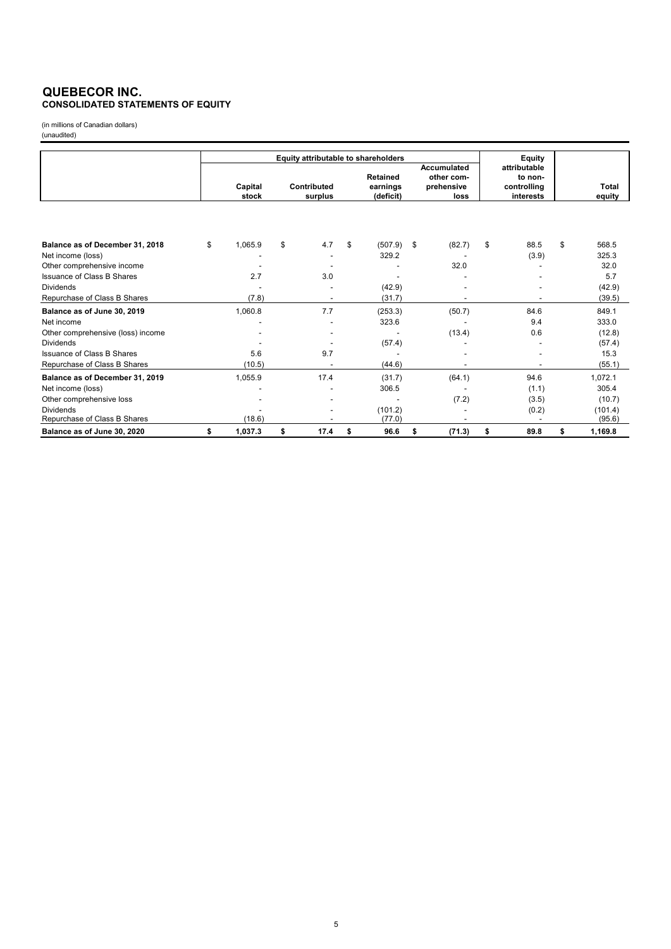#### **QUEBECOR INC. CONSOLIDATED STATEMENTS OF EQUITY**

(in millions of Canadian dollars) (unaudited)

|                                                      | Equity attributable to shareholders |    |                        |    |                                          |    |                                                        |    | Equity                                              |                        |
|------------------------------------------------------|-------------------------------------|----|------------------------|----|------------------------------------------|----|--------------------------------------------------------|----|-----------------------------------------------------|------------------------|
|                                                      | Capital<br>stock                    |    | Contributed<br>surplus |    | <b>Retained</b><br>earnings<br>(deficit) |    | <b>Accumulated</b><br>other com-<br>prehensive<br>loss |    | attributable<br>to non-<br>controlling<br>interests | <b>Total</b><br>equity |
| Balance as of December 31, 2018<br>Net income (loss) | \$<br>1,065.9                       | \$ | 4.7                    | \$ | (507.9)<br>329.2                         | \$ | (82.7)                                                 | \$ | 88.5<br>(3.9)                                       | \$<br>568.5<br>325.3   |
| Other comprehensive income                           |                                     |    |                        |    |                                          |    | 32.0                                                   |    |                                                     | 32.0                   |
| Issuance of Class B Shares                           | 2.7                                 |    | 3.0                    |    |                                          |    |                                                        |    |                                                     | 5.7                    |
| <b>Dividends</b>                                     |                                     |    |                        |    | (42.9)                                   |    |                                                        |    |                                                     | (42.9)                 |
| Repurchase of Class B Shares                         | (7.8)                               |    |                        |    | (31.7)                                   |    |                                                        |    |                                                     | (39.5)                 |
| Balance as of June 30, 2019                          | 1,060.8                             |    | 7.7                    |    | (253.3)                                  |    | (50.7)                                                 |    | 84.6                                                | 849.1                  |
| Net income                                           |                                     |    |                        |    | 323.6                                    |    |                                                        |    | 9.4                                                 | 333.0                  |
| Other comprehensive (loss) income                    |                                     |    |                        |    |                                          |    | (13.4)                                                 |    | 0.6                                                 | (12.8)                 |
| <b>Dividends</b>                                     |                                     |    |                        |    | (57.4)                                   |    |                                                        |    |                                                     | (57.4)                 |
| <b>Issuance of Class B Shares</b>                    | 5.6                                 |    | 9.7                    |    |                                          |    |                                                        |    |                                                     | 15.3                   |
| Repurchase of Class B Shares                         | (10.5)                              |    |                        |    | (44.6)                                   |    |                                                        |    |                                                     | (55.1)                 |
| Balance as of December 31, 2019                      | 1,055.9                             |    | 17.4                   |    | (31.7)                                   |    | (64.1)                                                 |    | 94.6                                                | 1,072.1                |
| Net income (loss)                                    |                                     |    |                        |    | 306.5                                    |    |                                                        |    | (1.1)                                               | 305.4                  |
| Other comprehensive loss                             |                                     |    |                        |    |                                          |    | (7.2)                                                  |    | (3.5)                                               | (10.7)                 |
| <b>Dividends</b>                                     |                                     |    |                        |    | (101.2)                                  |    |                                                        |    | (0.2)                                               | (101.4)                |
| Repurchase of Class B Shares                         | (18.6)                              |    |                        |    | (77.0)                                   |    |                                                        |    |                                                     | (95.6)                 |
| Balance as of June 30, 2020                          | \$<br>1,037.3                       | \$ | 17.4                   | \$ | 96.6                                     | \$ | (71.3)                                                 | \$ | 89.8                                                | \$<br>1,169.8          |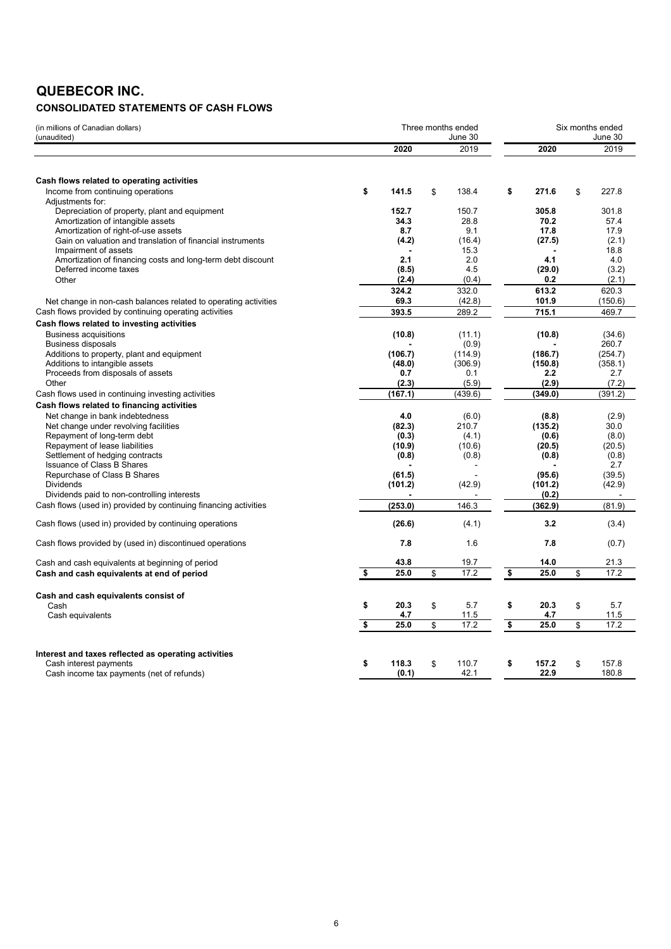## **QUEBECOR INC.**

### **CONSOLIDATED STATEMENTS OF CASH FLOWS**

| (in millions of Canadian dollars)<br>(unaudited)                               | Three months ended<br>June 30 |    |         |                         |                   | Six months ended<br>June 30 |                  |  |  |  |
|--------------------------------------------------------------------------------|-------------------------------|----|---------|-------------------------|-------------------|-----------------------------|------------------|--|--|--|
|                                                                                | 2020                          |    | 2019    |                         | 2020              |                             | 2019             |  |  |  |
|                                                                                |                               |    |         |                         |                   |                             |                  |  |  |  |
| Cash flows related to operating activities                                     |                               |    |         |                         |                   |                             |                  |  |  |  |
| Income from continuing operations                                              | \$<br>141.5                   | \$ | 138.4   | \$                      | 271.6             | \$                          | 227.8            |  |  |  |
| Adjustments for:<br>Depreciation of property, plant and equipment              | 152.7                         |    | 150.7   |                         | 305.8             |                             | 301.8            |  |  |  |
| Amortization of intangible assets                                              | 34.3                          |    | 28.8    |                         | 70.2              |                             | 57.4             |  |  |  |
| Amortization of right-of-use assets                                            | 8.7                           |    | 9.1     |                         | 17.8              |                             | 17.9             |  |  |  |
| Gain on valuation and translation of financial instruments                     | (4.2)                         |    | (16.4)  |                         | (27.5)            |                             | (2.1)            |  |  |  |
| Impairment of assets                                                           |                               |    | 15.3    |                         |                   |                             | 18.8             |  |  |  |
| Amortization of financing costs and long-term debt discount                    | 2.1                           |    | 2.0     |                         | 4.1               |                             | 4.0              |  |  |  |
| Deferred income taxes                                                          | (8.5)                         |    | 4.5     |                         | (29.0)            |                             | (3.2)            |  |  |  |
| Other                                                                          | (2.4)                         |    | (0.4)   |                         | 0.2               |                             | (2.1)            |  |  |  |
|                                                                                | 324.2                         |    | 332.0   |                         | 613.2             |                             | 620.3            |  |  |  |
| Net change in non-cash balances related to operating activities                | 69.3                          |    | (42.8)  |                         | 101.9             |                             | (150.6)          |  |  |  |
| Cash flows provided by continuing operating activities                         | 393.5                         |    | 289.2   |                         | 715.1             |                             | 469.7            |  |  |  |
| Cash flows related to investing activities                                     |                               |    |         |                         |                   |                             |                  |  |  |  |
| <b>Business acquisitions</b>                                                   | (10.8)                        |    | (11.1)  |                         | (10.8)            |                             | (34.6)           |  |  |  |
| <b>Business disposals</b>                                                      |                               |    | (0.9)   |                         |                   |                             | 260.7            |  |  |  |
| Additions to property, plant and equipment                                     | (106.7)                       |    | (114.9) |                         | (186.7)           |                             | (254.7)          |  |  |  |
| Additions to intangible assets                                                 | (48.0)                        |    | (306.9) |                         | (150.8)           |                             | (358.1)          |  |  |  |
| Proceeds from disposals of assets                                              | 0.7                           |    | 0.1     |                         | 2.2               |                             | 2.7              |  |  |  |
| Other                                                                          | (2.3)                         |    | (5.9)   |                         | (2.9)             |                             | (7.2)            |  |  |  |
| Cash flows used in continuing investing activities                             | (167.1)                       |    | (439.6) |                         | (349.0)           |                             | (391.2)          |  |  |  |
| Cash flows related to financing activities                                     |                               |    |         |                         |                   |                             |                  |  |  |  |
| Net change in bank indebtedness                                                | 4.0                           |    | (6.0)   |                         | (8.8)             |                             | (2.9)            |  |  |  |
| Net change under revolving facilities                                          | (82.3)                        |    | 210.7   |                         | (135.2)           |                             | 30.0             |  |  |  |
| Repayment of long-term debt                                                    | (0.3)                         |    | (4.1)   |                         | (0.6)             |                             | (8.0)            |  |  |  |
| Repayment of lease liabilities                                                 | (10.9)                        |    | (10.6)  |                         | (20.5)            |                             | (20.5)           |  |  |  |
| Settlement of hedging contracts                                                | (0.8)                         |    | (0.8)   |                         | (0.8)             |                             | (0.8)            |  |  |  |
| <b>Issuance of Class B Shares</b>                                              |                               |    |         |                         |                   |                             | 2.7              |  |  |  |
| Repurchase of Class B Shares<br><b>Dividends</b>                               | (61.5)<br>(101.2)             |    | (42.9)  |                         | (95.6)<br>(101.2) |                             | (39.5)<br>(42.9) |  |  |  |
| Dividends paid to non-controlling interests                                    |                               |    |         |                         | (0.2)             |                             |                  |  |  |  |
| Cash flows (used in) provided by continuing financing activities               | (253.0)                       |    | 146.3   |                         | (362.9)           |                             | (81.9)           |  |  |  |
| Cash flows (used in) provided by continuing operations                         | (26.6)                        |    | (4.1)   |                         | 3.2               |                             | (3.4)            |  |  |  |
| Cash flows provided by (used in) discontinued operations                       | 7.8                           |    | 1.6     |                         | 7.8               |                             | (0.7)            |  |  |  |
|                                                                                |                               |    |         |                         |                   |                             |                  |  |  |  |
| Cash and cash equivalents at beginning of period                               | 43.8                          |    | 19.7    |                         | 14.0              |                             | 21.3             |  |  |  |
| Cash and cash equivalents at end of period                                     | \$<br>25.0                    | \$ | 17.2    | \$                      | 25.0              | \$                          | 17.2             |  |  |  |
| Cash and cash equivalents consist of                                           |                               |    |         |                         |                   |                             |                  |  |  |  |
| Cash                                                                           | \$<br>20.3                    | \$ | 5.7     | \$                      | 20.3              | \$                          | 5.7              |  |  |  |
| Cash equivalents                                                               | 4.7                           |    | 11.5    |                         | 4.7               |                             | 11.5             |  |  |  |
|                                                                                | \$<br>25.0                    | \$ | 17.2    | $\overline{\mathbf{s}}$ | 25.0              | \$                          | 17.2             |  |  |  |
|                                                                                |                               |    |         |                         |                   |                             |                  |  |  |  |
| Interest and taxes reflected as operating activities<br>Cash interest payments | \$<br>118.3                   | \$ | 110.7   | \$                      | 157.2             | \$                          | 157.8            |  |  |  |
| Cash income tax payments (net of refunds)                                      | (0.1)                         |    | 42.1    |                         | 22.9              |                             | 180.8            |  |  |  |